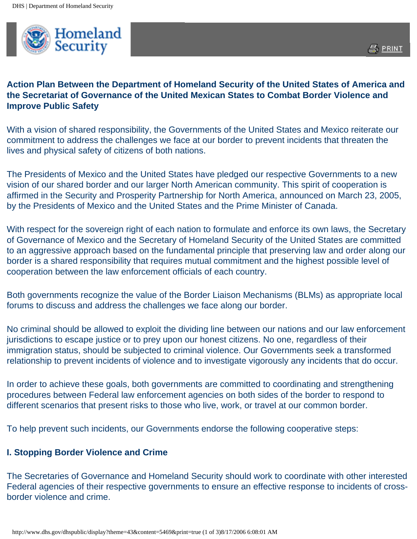

## **Action Plan Between the Department of Homeland Security of the United States of America and the Secretariat of Governance of the United Mexican States to Combat Border Violence and Improve Public Safety**

With a vision of shared responsibility, the Governments of the United States and Mexico reiterate our commitment to address the challenges we face at our border to prevent incidents that threaten the lives and physical safety of citizens of both nations.

The Presidents of Mexico and the United States have pledged our respective Governments to a new vision of our shared border and our larger North American community. This spirit of cooperation is affirmed in the Security and Prosperity Partnership for North America, announced on March 23, 2005, by the Presidents of Mexico and the United States and the Prime Minister of Canada.

With respect for the sovereign right of each nation to formulate and enforce its own laws, the Secretary of Governance of Mexico and the Secretary of Homeland Security of the United States are committed to an aggressive approach based on the fundamental principle that preserving law and order along our border is a shared responsibility that requires mutual commitment and the highest possible level of cooperation between the law enforcement officials of each country.

Both governments recognize the value of the Border Liaison Mechanisms (BLMs) as appropriate local forums to discuss and address the challenges we face along our border.

No criminal should be allowed to exploit the dividing line between our nations and our law enforcement jurisdictions to escape justice or to prey upon our honest citizens. No one, regardless of their immigration status, should be subjected to criminal violence. Our Governments seek a transformed relationship to prevent incidents of violence and to investigate vigorously any incidents that do occur.

In order to achieve these goals, both governments are committed to coordinating and strengthening procedures between Federal law enforcement agencies on both sides of the border to respond to different scenarios that present risks to those who live, work, or travel at our common border.

To help prevent such incidents, our Governments endorse the following cooperative steps:

## **I. Stopping Border Violence and Crime**

The Secretaries of Governance and Homeland Security should work to coordinate with other interested Federal agencies of their respective governments to ensure an effective response to incidents of crossborder violence and crime.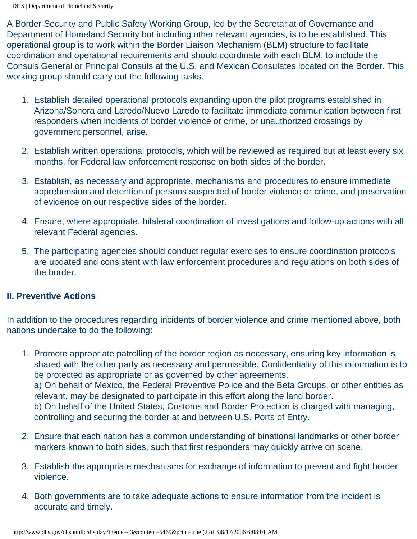DHS | Department of Homeland Security

A Border Security and Public Safety Working Group, led by the Secretariat of Governance and Department of Homeland Security but including other relevant agencies, is to be established. This operational group is to work within the Border Liaison Mechanism (BLM) structure to facilitate coordination and operational requirements and should coordinate with each BLM, to include the Consuls General or Principal Consuls at the U.S. and Mexican Consulates located on the Border. This working group should carry out the following tasks.

- 1. Establish detailed operational protocols expanding upon the pilot programs established in Arizona/Sonora and Laredo/Nuevo Laredo to facilitate immediate communication between first responders when incidents of border violence or crime, or unauthorized crossings by government personnel, arise.
- 2. Establish written operational protocols, which will be reviewed as required but at least every six months, for Federal law enforcement response on both sides of the border.
- 3. Establish, as necessary and appropriate, mechanisms and procedures to ensure immediate apprehension and detention of persons suspected of border violence or crime, and preservation of evidence on our respective sides of the border.
- 4. Ensure, where appropriate, bilateral coordination of investigations and follow-up actions with all relevant Federal agencies.
- 5. The participating agencies should conduct regular exercises to ensure coordination protocols are updated and consistent with law enforcement procedures and regulations on both sides of the border.

## **II. Preventive Actions**

In addition to the procedures regarding incidents of border violence and crime mentioned above, both nations undertake to do the following:

- 1. Promote appropriate patrolling of the border region as necessary, ensuring key information is shared with the other party as necessary and permissible. Confidentiality of this information is to be protected as appropriate or as governed by other agreements. a) On behalf of Mexico, the Federal Preventive Police and the Beta Groups, or other entities as relevant, may be designated to participate in this effort along the land border. b) On behalf of the United States, Customs and Border Protection is charged with managing, controlling and securing the border at and between U.S. Ports of Entry.
- 2. Ensure that each nation has a common understanding of binational landmarks or other border markers known to both sides, such that first responders may quickly arrive on scene.
- 3. Establish the appropriate mechanisms for exchange of information to prevent and fight border violence.
- 4. Both governments are to take adequate actions to ensure information from the incident is accurate and timely.